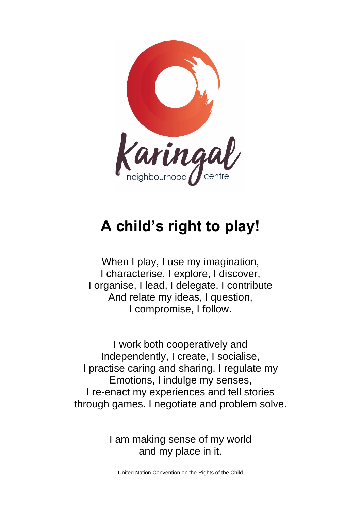

# **A child's right to play!**

When I play, I use my imagination, I characterise, I explore, I discover, I organise, I lead, I delegate, I contribute And relate my ideas, I question, I compromise, I follow.

I work both cooperatively and Independently, I create, I socialise, I practise caring and sharing, I regulate my Emotions, I indulge my senses, I re-enact my experiences and tell stories through games. I negotiate and problem solve.

> I am making sense of my world and my place in it.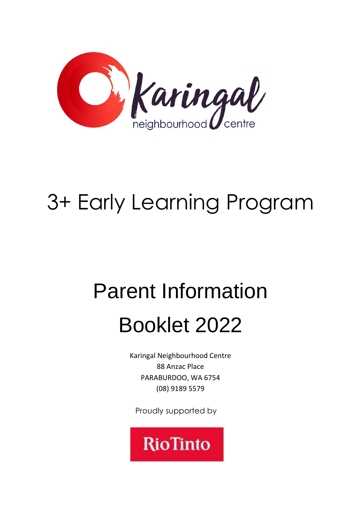

# 3+ Early Learning Program

# Parent Information

# Booklet 2022

Karingal Neighbourhood Centre 88 Anzac Place PARABURDOO, WA 6754 (08) 9189 5579

Proudly supported by

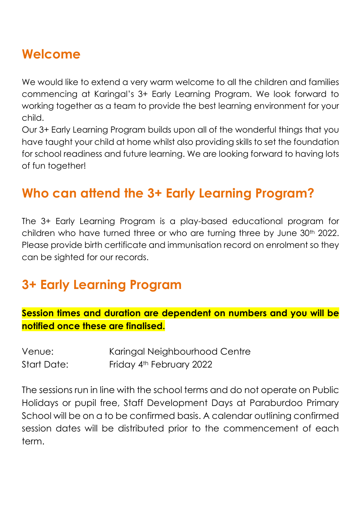# **Welcome**

We would like to extend a very warm welcome to all the children and families commencing at Karingal's 3+ Early Learning Program. We look forward to working together as a team to provide the best learning environment for your child.

Our 3+ Early Learning Program builds upon all of the wonderful things that you have taught your child at home whilst also providing skills to set the foundation for school readiness and future learning. We are looking forward to having lots of fun together!

## **Who can attend the 3+ Early Learning Program?**

The 3+ Early Learning Program is a play-based educational program for children who have turned three or who are turning three by June 30<sup>th</sup> 2022. Please provide birth certificate and immunisation record on enrolment so they can be sighted for our records.

### **3+ Early Learning Program**

#### **Session times and duration are dependent on numbers and you will be notified once these are finalised.**

| Venue:      | Karingal Neighbourhood Centre |
|-------------|-------------------------------|
| Start Date: | Friday 4th February 2022      |

The sessions run in line with the school terms and do not operate on Public Holidays or pupil free, Staff Development Days at Paraburdoo Primary School will be on a to be confirmed basis. A calendar outlining confirmed session dates will be distributed prior to the commencement of each term.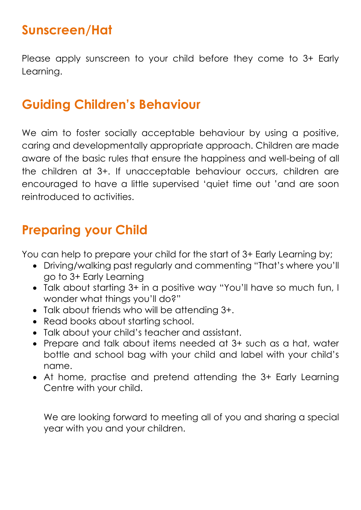# **Sunscreen/Hat**

Please apply sunscreen to your child before they come to 3+ Early Learning.

# **Guiding Children's Behaviour**

We aim to foster socially acceptable behaviour by using a positive, caring and developmentally appropriate approach. Children are made aware of the basic rules that ensure the happiness and well-being of all the children at 3+. If unacceptable behaviour occurs, children are encouraged to have a little supervised 'quiet time out 'and are soon reintroduced to activities.

## **Preparing your Child**

You can help to prepare your child for the start of 3+ Early Learning by;

- Driving/walking past regularly and commenting "That's where you'll go to 3+ Early Learning
- Talk about starting 3+ in a positive way "You'll have so much fun, I wonder what things you'll do?"
- Talk about friends who will be attending 3+.
- Read books about starting school.
- Talk about your child's teacher and assistant.
- Prepare and talk about items needed at 3+ such as a hat, water bottle and school bag with your child and label with your child's name.
- At home, practise and pretend attending the 3+ Early Learning Centre with your child.

We are looking forward to meeting all of you and sharing a special year with you and your children.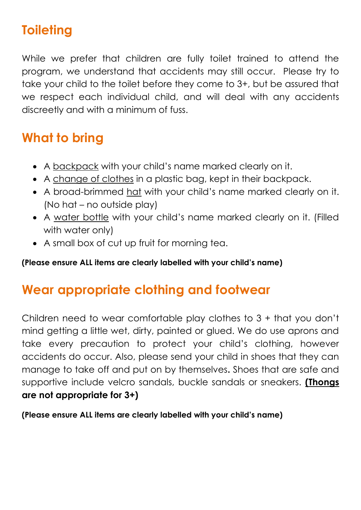# **Toileting**

While we prefer that children are fully toilet trained to attend the program, we understand that accidents may still occur. Please try to take your child to the toilet before they come to 3+, but be assured that we respect each individual child, and will deal with any accidents discreetly and with a minimum of fuss.

# **What to bring**

- A backpack with your child's name marked clearly on it.
- A change of clothes in a plastic bag, kept in their backpack.
- A broad-brimmed hat with your child's name marked clearly on it. (No hat – no outside play)
- A water bottle with your child's name marked clearly on it. (Filled with water only)
- A small box of cut up fruit for morning tea.

#### **(Please ensure ALL items are clearly labelled with your child's name)**

### **Wear appropriate clothing and footwear**

Children need to wear comfortable play clothes to 3 + that you don't mind getting a little wet, dirty, painted or glued. We do use aprons and take every precaution to protect your child's clothing, however accidents do occur. Also, please send your child in shoes that they can manage to take off and put on by themselves**.** Shoes that are safe and supportive include velcro sandals, buckle sandals or sneakers. **(Thongs are not appropriate for 3+)**

#### **(Please ensure ALL items are clearly labelled with your child's name)**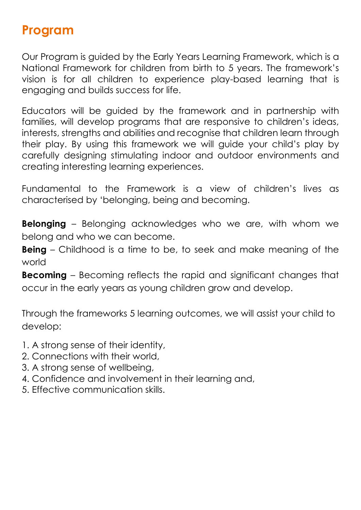#### **Program**

Our Program is guided by the Early Years Learning Framework, which is a National Framework for children from birth to 5 years. The framework's vision is for all children to experience play-based learning that is engaging and builds success for life.

Educators will be guided by the framework and in partnership with families, will develop programs that are responsive to children's ideas, interests, strengths and abilities and recognise that children learn through their play. By using this framework we will guide your child's play by carefully designing stimulating indoor and outdoor environments and creating interesting learning experiences.

Fundamental to the Framework is a view of children's lives as characterised by 'belonging, being and becoming.

**Belonging** – Belonging acknowledges who we are, with whom we belong and who we can become.

**Being** – Childhood is a time to be, to seek and make meaning of the world

**Becoming** – Becoming reflects the rapid and significant changes that occur in the early years as young children grow and develop.

Through the frameworks 5 learning outcomes, we will assist your child to develop:

- 1. A strong sense of their identity,
- 2. Connections with their world,
- 3. A strong sense of wellbeing,
- 4. Confidence and involvement in their learning and,
- 5. Effective communication skills.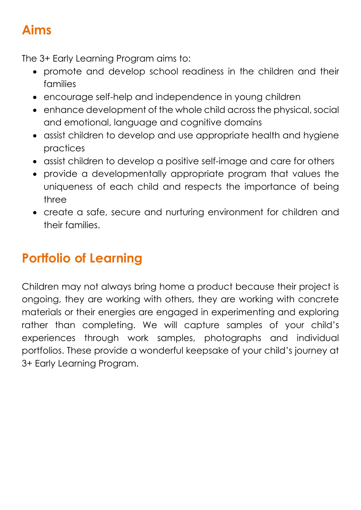# **Aims**

The 3+ Early Learning Program aims to:

- promote and develop school readiness in the children and their families
- encourage self-help and independence in young children
- enhance development of the whole child across the physical, social and emotional, language and cognitive domains
- assist children to develop and use appropriate health and hygiene practices
- assist children to develop a positive self-image and care for others
- provide a developmentally appropriate program that values the uniqueness of each child and respects the importance of being three
- create a safe, secure and nurturing environment for children and their families.

# **Portfolio of Learning**

Children may not always bring home a product because their project is ongoing, they are working with others, they are working with concrete materials or their energies are engaged in experimenting and exploring rather than completing. We will capture samples of your child's experiences through work samples, photographs and individual portfolios. These provide a wonderful keepsake of your child's journey at 3+ Early Learning Program.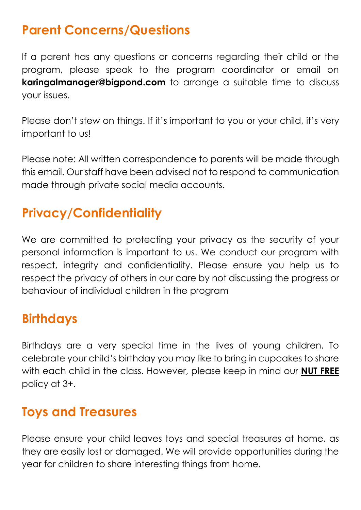# **Parent Concerns/Questions**

If a parent has any questions or concerns regarding their child or the program, please speak to the program coordinator or email on **karingalmanager@bigpond.com** to arrange a suitable time to discuss your issues.

Please don't stew on things. If it's important to you or your child, it's very important to us!

Please note: All written correspondence to parents will be made through this email. Our staff have been advised not to respond to communication made through private social media accounts.

# **Privacy/Confidentiality**

We are committed to protecting your privacy as the security of your personal information is important to us. We conduct our program with respect, integrity and confidentiality. Please ensure you help us to respect the privacy of others in our care by not discussing the progress or behaviour of individual children in the program

# **Birthdays**

Birthdays are a very special time in the lives of young children. To celebrate your child's birthday you may like to bring in cupcakes to share with each child in the class. However, please keep in mind our **NUT FREE** policy at 3+.

### **Toys and Treasures**

Please ensure your child leaves toys and special treasures at home, as they are easily lost or damaged. We will provide opportunities during the year for children to share interesting things from home.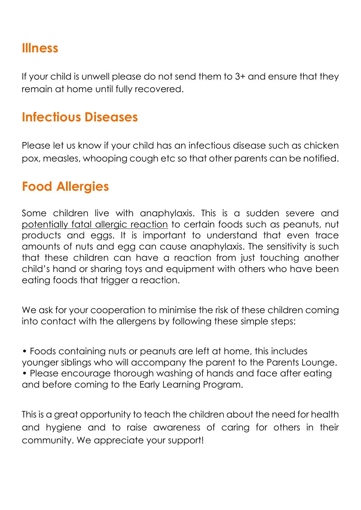#### **Illness**

If your child is unwell please do not send them to 3+ and ensure that they remain at home until fully recovered.

# **Infectious Diseases**

Please let us know if your child has an infectious disease such as chicken pox, measles, whooping cough etc so that other parents can be notified.

## **Food Allergies**

Some children live with anaphylaxis. This is a sudden severe and potentially fatal allergic reaction to certain foods such as peanuts, nut products and eggs. It is important to understand that even trace amounts of nuts and egg can cause anaphylaxis. The sensitivity is such that these children can have a reaction from just touching another child's hand or sharing toys and equipment with others who have been eating foods that trigger a reaction.

We ask for your cooperation to minimise the risk of these children coming into contact with the allergens by following these simple steps:

• Foods containing nuts or peanuts are left at home, this includes younger siblings who will accompany the parent to the Parents Lounge. • Please encourage thorough washing of hands and face after eating and before coming to the Early Learning Program.

This is a great opportunity to teach the children about the need for health and hygiene and to raise awareness of caring for others in their community. We appreciate your support!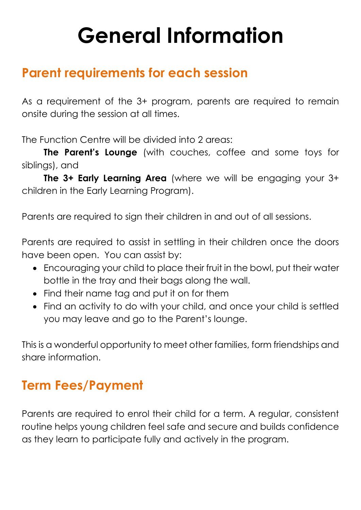# **General Information**

### **Parent requirements for each session**

As a requirement of the 3+ program, parents are required to remain onsite during the session at all times.

The Function Centre will be divided into 2 areas:

**The Parent's Lounge** (with couches, coffee and some toys for siblings), and

**The 3+ Early Learning Area** (where we will be engaging your 3+ children in the Early Learning Program).

Parents are required to sign their children in and out of all sessions.

Parents are required to assist in settling in their children once the doors have been open. You can assist by:

- Encouraging your child to place their fruit in the bowl, put their water bottle in the tray and their bags along the wall.
- Find their name tag and put it on for them
- Find an activity to do with your child, and once your child is settled you may leave and go to the Parent's lounge.

This is a wonderful opportunity to meet other families, form friendships and share information.

# **Term Fees/Payment**

Parents are required to enrol their child for a term. A regular, consistent routine helps young children feel safe and secure and builds confidence as they learn to participate fully and actively in the program.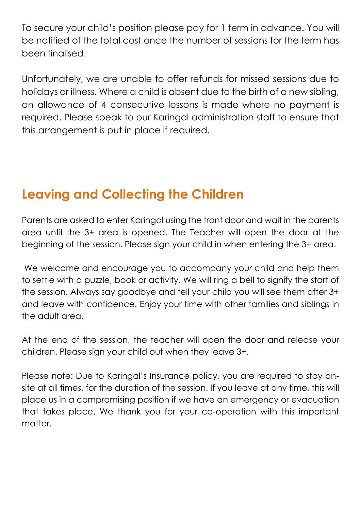To secure your child's position please pay for 1 term in advance. You will be notified of the total cost once the number of sessions for the term has been finalised.

Unfortunately, we are unable to offer refunds for missed sessions due to holidays or illness. Where a child is absent due to the birth of a new sibling, an allowance of 4 consecutive lessons is made where no payment is required. Please speak to our Karingal administration staff to ensure that this arrangement is put in place if required.

# **Leaving and Collecting the Children**

Parents are asked to enter Karingal using the front door and wait in the parents area until the 3+ area is opened. The Teacher will open the door at the beginning of the session. Please sign your child in when entering the 3+ area.

We welcome and encourage you to accompany your child and help them to settle with a puzzle, book or activity. We will ring a bell to signify the start of the session. Always say goodbye and tell your child you will see them after 3+ and leave with confidence. Enjoy your time with other families and siblings in the adult area.

At the end of the session, the teacher will open the door and release your children. Please sign your child out when they leave 3+.

Please note: Due to Karingal's Insurance policy, you are required to stay onsite at all times, for the duration of the session. If you leave at any time, this will place us in a compromising position if we have an emergency or evacuation that takes place. We thank you for your co-operation with this important matter.